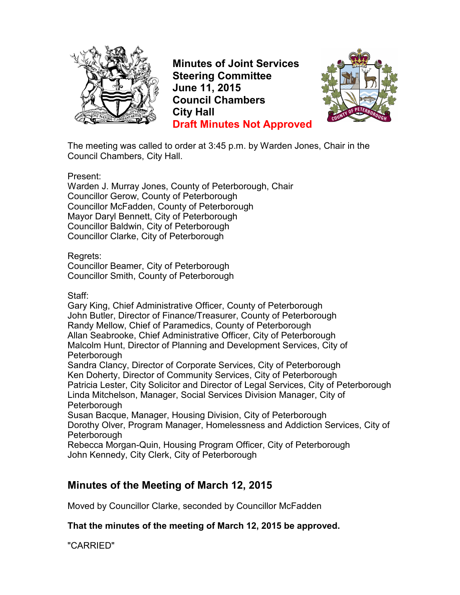

**Minutes of Joint Services Steering Committee June 11, 2015 Council Chambers City Hall Draft Minutes Not Approved**



The meeting was called to order at 3:45 p.m. by Warden Jones, Chair in the Council Chambers, City Hall.

Present:

Warden J. Murray Jones, County of Peterborough, Chair Councillor Gerow, County of Peterborough Councillor McFadden, County of Peterborough Mayor Daryl Bennett, City of Peterborough Councillor Baldwin, City of Peterborough Councillor Clarke, City of Peterborough

Regrets:

Councillor Beamer, City of Peterborough Councillor Smith, County of Peterborough

Staff:

Gary King, Chief Administrative Officer, County of Peterborough John Butler, Director of Finance/Treasurer, County of Peterborough Randy Mellow, Chief of Paramedics, County of Peterborough Allan Seabrooke, Chief Administrative Officer, City of Peterborough Malcolm Hunt, Director of Planning and Development Services, City of Peterborough

Sandra Clancy, Director of Corporate Services, City of Peterborough Ken Doherty, Director of Community Services, City of Peterborough Patricia Lester, City Solicitor and Director of Legal Services, City of Peterborough Linda Mitchelson, Manager, Social Services Division Manager, City of **Peterborough** 

Susan Bacque, Manager, Housing Division, City of Peterborough Dorothy Olver, Program Manager, Homelessness and Addiction Services, City of **Peterborough** 

Rebecca Morgan-Quin, Housing Program Officer, City of Peterborough John Kennedy, City Clerk, City of Peterborough

## **Minutes of the Meeting of March 12, 2015**

Moved by Councillor Clarke, seconded by Councillor McFadden

**That the minutes of the meeting of March 12, 2015 be approved.** 

"CARRIED"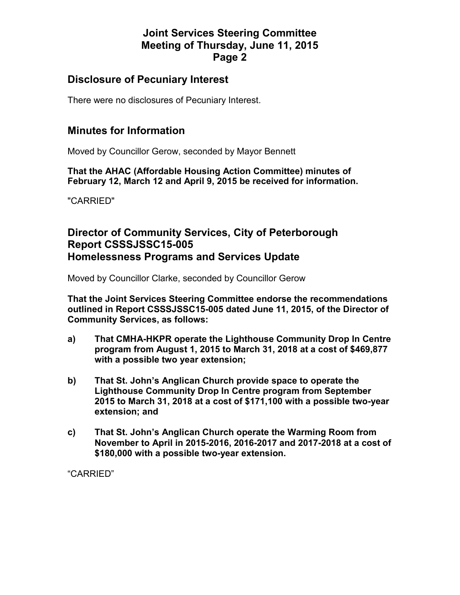## **Joint Services Steering Committee Meeting of Thursday, June 11, 2015 Page 2**

### **Disclosure of Pecuniary Interest**

There were no disclosures of Pecuniary Interest.

### **Minutes for Information**

Moved by Councillor Gerow, seconded by Mayor Bennett

**That the AHAC (Affordable Housing Action Committee) minutes of February 12, March 12 and April 9, 2015 be received for information.** 

"CARRIED"

## **Director of Community Services, City of Peterborough Report CSSSJSSC15-005 Homelessness Programs and Services Update**

Moved by Councillor Clarke, seconded by Councillor Gerow

**That the Joint Services Steering Committee endorse the recommendations outlined in Report CSSSJSSC15-005 dated June 11, 2015, of the Director of Community Services, as follows:** 

- **a) That CMHA-HKPR operate the Lighthouse Community Drop In Centre program from August 1, 2015 to March 31, 2018 at a cost of \$469,877 with a possible two year extension;**
- **b) That St. John's Anglican Church provide space to operate the Lighthouse Community Drop In Centre program from September 2015 to March 31, 2018 at a cost of \$171,100 with a possible two-year extension; and**
- **c) That St. John's Anglican Church operate the Warming Room from November to April in 2015-2016, 2016-2017 and 2017-2018 at a cost of \$180,000 with a possible two-year extension.**

"CARRIED"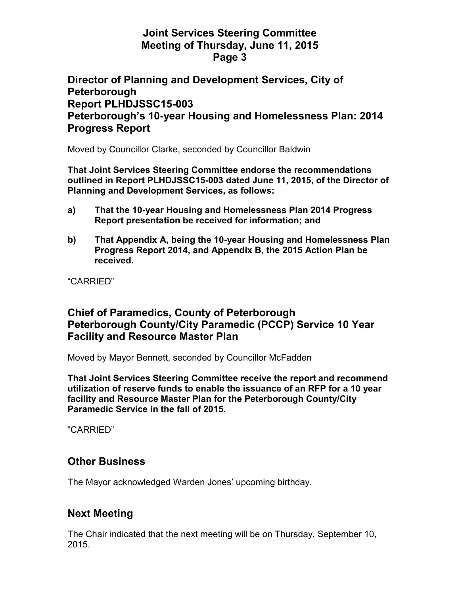### **Joint Services Steering Committee Meeting of Thursday, June 11, 2015 Page 3**

### **Director of Planning and Development Services, City of Peterborough Report PLHDJSSC15-003 Peterborough's 10-year Housing and Homelessness Plan: 2014 Progress Report**

Moved by Councillor Clarke, seconded by Councillor Baldwin

**That Joint Services Steering Committee endorse the recommendations outlined in Report PLHDJSSC15-003 dated June 11, 2015, of the Director of Planning and Development Services, as follows:** 

- **a) That the 10-year Housing and Homelessness Plan 2014 Progress Report presentation be received for information; and**
- **b) That Appendix A, being the 10-year Housing and Homelessness Plan Progress Report 2014, and Appendix B, the 2015 Action Plan be received.**

"CARRIED"

## **Chief of Paramedics, County of Peterborough Peterborough County/City Paramedic (PCCP) Service 10 Year Facility and Resource Master Plan**

Moved by Mayor Bennett, seconded by Councillor McFadden

**That Joint Services Steering Committee receive the report and recommend utilization of reserve funds to enable the issuance of an RFP for a 10 year facility and Resource Master Plan for the Peterborough County/City Paramedic Service in the fall of 2015.** 

"CARRIED"

## **Other Business**

The Mayor acknowledged Warden Jones' upcoming birthday.

## **Next Meeting**

The Chair indicated that the next meeting will be on Thursday, September 10, 2015.